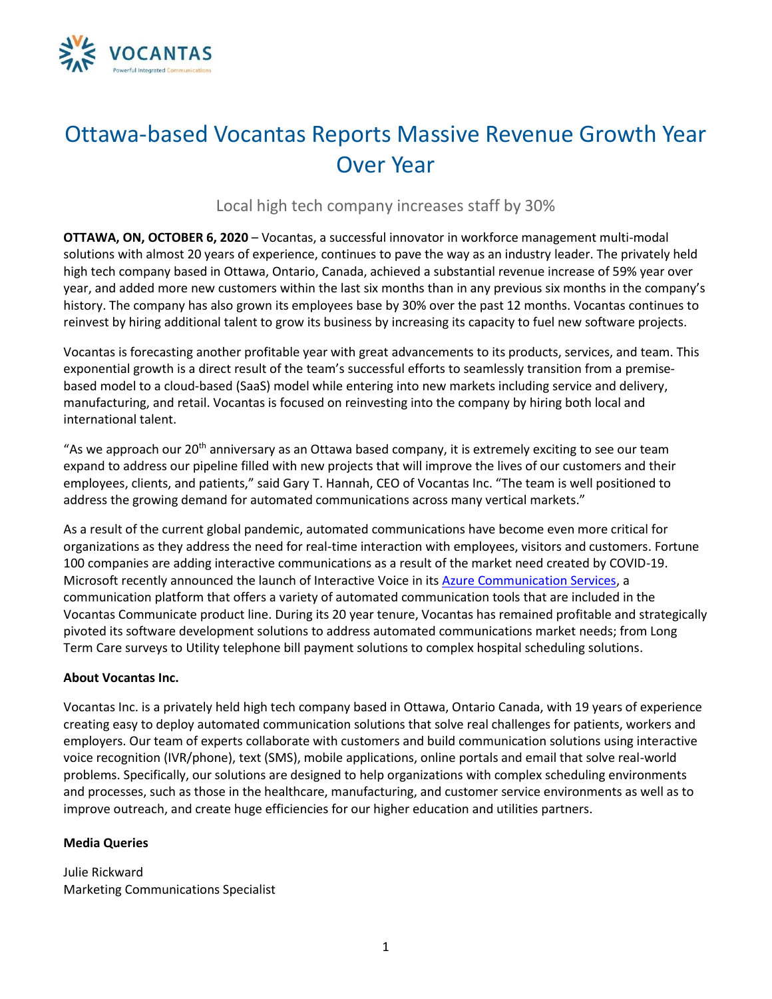

## Ottawa-based Vocantas Reports Massive Revenue Growth Year Over Year

Local high tech company increases staff by 30%

**OTTAWA, ON, OCTOBER 6, 2020** – Vocantas, a successful innovator in workforce management multi-modal solutions with almost 20 years of experience, continues to pave the way as an industry leader. The privately held high tech company based in Ottawa, Ontario, Canada, achieved a substantial revenue increase of 59% year over year, and added more new customers within the last six months than in any previous six months in the company's history. The company has also grown its employees base by 30% over the past 12 months. Vocantas continues to reinvest by hiring additional talent to grow its business by increasing its capacity to fuel new software projects.

Vocantas is forecasting another profitable year with great advancements to its products, services, and team. This exponential growth is a direct result of the team's successful efforts to seamlessly transition from a premisebased model to a cloud-based (SaaS) model while entering into new markets including service and delivery, manufacturing, and retail. Vocantas is focused on reinvesting into the company by hiring both local and international talent.

"As we approach our 20<sup>th</sup> anniversary as an Ottawa based company, it is extremely exciting to see our team expand to address our pipeline filled with new projects that will improve the lives of our customers and their employees, clients, and patients," said Gary T. Hannah, CEO of Vocantas Inc. "The team is well positioned to address the growing demand for automated communications across many vertical markets."

As a result of the current global pandemic, automated communications have become even more critical for organizations as they address the need for real-time interaction with employees, visitors and customers. Fortune 100 companies are adding interactive communications as a result of the market need created by COVID-19. Microsoft recently announced the launch of Interactive Voice in it[s Azure Communication Services,](https://azure.microsoft.com/en-us/blog/build-rich-communication-experiences-at-scale-with-azure-communication-services/) a communication platform that offers a variety of automated communication tools that are included in the Vocantas Communicate product line. During its 20 year tenure, Vocantas has remained profitable and strategically pivoted its software development solutions to address automated communications market needs; from Long Term Care surveys to Utility telephone bill payment solutions to complex hospital scheduling solutions.

## **About Vocantas Inc.**

Vocantas Inc. is a privately held high tech company based in Ottawa, Ontario Canada, with 19 years of experience creating easy to deploy automated communication solutions that solve real challenges for patients, workers and employers. Our team of experts collaborate with customers and build communication solutions using interactive voice recognition (IVR/phone), text (SMS), mobile applications, online portals and email that solve real-world problems. Specifically, our solutions are designed to help organizations with complex scheduling environments and processes, such as those in the healthcare, manufacturing, and customer service environments as well as to improve outreach, and create huge efficiencies for our higher education and utilities partners.

## **Media Queries**

Julie Rickward Marketing Communications Specialist